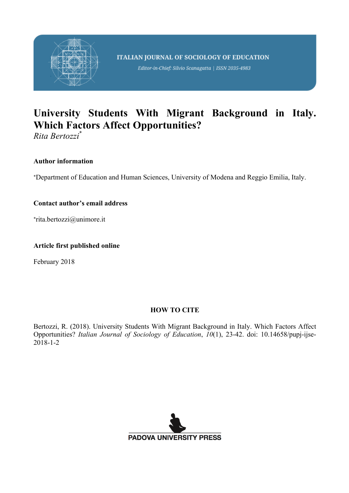

Editor-in-Chief: Silvio Scanagatta | ISSN 2035-4983

# **University Students With Migrant Background in Italy. Which Factors Affect Opportunities?**

*Rita Bertozzi*\*

### **Author information**

\*Department of Education and Human Sciences, University of Modena and Reggio Emilia, Italy.

### **Contact author's email address**

\*rita.bertozzi@unimore.it

### **Article first published online**

February 2018

### **HOW TO CITE**

Bertozzi, R. (2018). University Students With Migrant Background in Italy. Which Factors Affect Opportunities? *Italian Journal of Sociology of Education*, *10*(1), 23-42. doi: 10.14658/pupj-ijse-2018-1-2

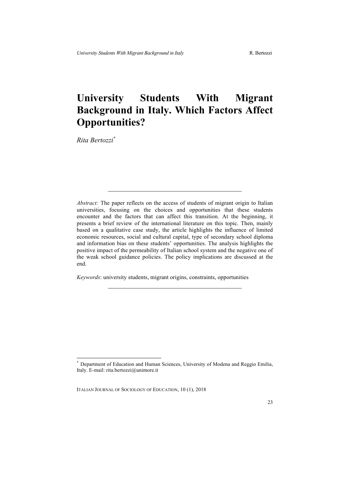## **University Students With Migrant Background in Italy. Which Factors Affect Opportunities?**

*Rita Bertozzi\**

*Abstract:* The paper reflects on the access of students of migrant origin to Italian universities, focusing on the choices and opportunities that these students encounter and the factors that can affect this transition. At the beginning, it presents a brief review of the international literature on this topic. Then, mainly based on a qualitative case study, the article highlights the influence of limited economic resources, social and cultural capital, type of secondary school diploma and information bias on these students' opportunities. The analysis highlights the positive impact of the permeability of Italian school system and the negative one of the weak school guidance policies. The policy implications are discussed at the end.

 $\mathcal{L}_\text{max}$  and  $\mathcal{L}_\text{max}$  and  $\mathcal{L}_\text{max}$  and  $\mathcal{L}_\text{max}$ 

*Keywords*: university students, migrant origins, constraints, opportunities

Department of Education and Human Sciences, University of Modena and Reggio Emilia, Italy. E-mail: rita.bertozzi@unimore.it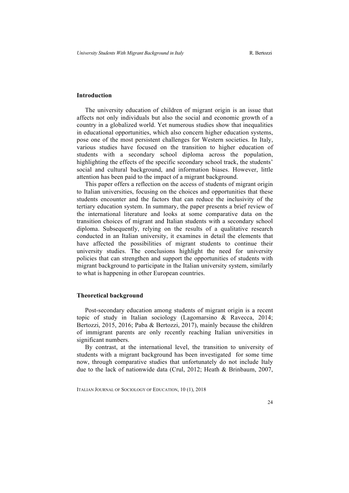#### **Introduction**

The university education of children of migrant origin is an issue that affects not only individuals but also the social and economic growth of a country in a globalized world. Yet numerous studies show that inequalities in educational opportunities, which also concern higher education systems, pose one of the most persistent challenges for Western societies. In Italy, various studies have focused on the transition to higher education of students with a secondary school diploma across the population, highlighting the effects of the specific secondary school track, the students' social and cultural background, and information biases. However, little attention has been paid to the impact of a migrant background.

This paper offers a reflection on the access of students of migrant origin to Italian universities, focusing on the choices and opportunities that these students encounter and the factors that can reduce the inclusivity of the tertiary education system. In summary, the paper presents a brief review of the international literature and looks at some comparative data on the transition choices of migrant and Italian students with a secondary school diploma. Subsequently, relying on the results of a qualitative research conducted in an Italian university, it examines in detail the elements that have affected the possibilities of migrant students to continue their university studies. The conclusions highlight the need for university policies that can strengthen and support the opportunities of students with migrant background to participate in the Italian university system, similarly to what is happening in other European countries.

#### **Theoretical background**

Post-secondary education among students of migrant origin is a recent topic of study in Italian sociology (Lagomarsino & Ravecca, 2014; Bertozzi, 2015, 2016; Paba & Bertozzi, 2017), mainly because the children of immigrant parents are only recently reaching Italian universities in significant numbers.

By contrast, at the international level, the transition to university of students with a migrant background has been investigated for some time now, through comparative studies that unfortunately do not include Italy due to the lack of nationwide data (Crul, 2012; Heath & Brinbaum, 2007,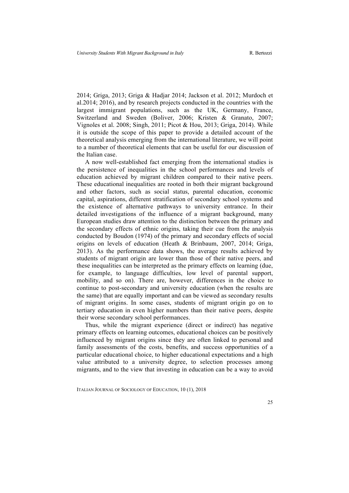2014; Griga, 2013; Griga & Hadjar 2014; Jackson et al. 2012; Murdoch et al.2014; 2016), and by research projects conducted in the countries with the largest immigrant populations, such as the UK, Germany, France, Switzerland and Sweden (Boliver, 2006; Kristen & Granato, 2007; Vignoles et al. 2008; Singh, 2011; Picot & Hou, 2013; Griga, 2014). While it is outside the scope of this paper to provide a detailed account of the theoretical analysis emerging from the international literature, we will point to a number of theoretical elements that can be useful for our discussion of the Italian case.

A now well-established fact emerging from the international studies is the persistence of inequalities in the school performances and levels of education achieved by migrant children compared to their native peers. These educational inequalities are rooted in both their migrant background and other factors, such as social status, parental education, economic capital, aspirations, different stratification of secondary school systems and the existence of alternative pathways to university entrance. In their detailed investigations of the influence of a migrant background, many European studies draw attention to the distinction between the primary and the secondary effects of ethnic origins, taking their cue from the analysis conducted by Boudon (1974) of the primary and secondary effects of social origins on levels of education (Heath & Brinbaum, 2007, 2014; Griga, 2013). As the performance data shows, the average results achieved by students of migrant origin are lower than those of their native peers, and these inequalities can be interpreted as the primary effects on learning (due, for example, to language difficulties, low level of parental support, mobility, and so on). There are, however, differences in the choice to continue to post-secondary and university education (when the results are the same) that are equally important and can be viewed as secondary results of migrant origins. In some cases, students of migrant origin go on to tertiary education in even higher numbers than their native peers, despite their worse secondary school performances.

Thus, while the migrant experience (direct or indirect) has negative primary effects on learning outcomes, educational choices can be positively influenced by migrant origins since they are often linked to personal and family assessments of the costs, benefits, and success opportunities of a particular educational choice, to higher educational expectations and a high value attributed to a university degree, to selection processes among migrants, and to the view that investing in education can be a way to avoid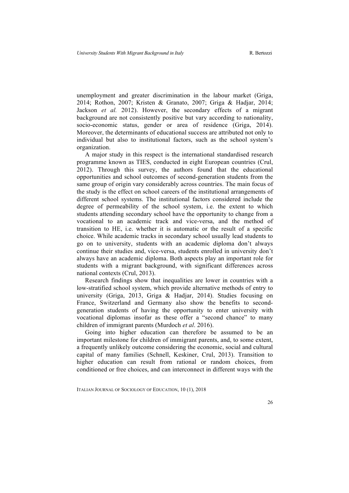unemployment and greater discrimination in the labour market (Griga, 2014; Rothon, 2007; Kristen & Granato, 2007; Griga & Hadjar, 2014; Jackson *et al.* 2012). However, the secondary effects of a migrant background are not consistently positive but vary according to nationality, socio-economic status, gender or area of residence (Griga, 2014). Moreover, the determinants of educational success are attributed not only to individual but also to institutional factors, such as the school system's organization.

A major study in this respect is the international standardised research programme known as TIES, conducted in eight European countries (Crul, 2012). Through this survey, the authors found that the educational opportunities and school outcomes of second-generation students from the same group of origin vary considerably across countries. The main focus of the study is the effect on school careers of the institutional arrangements of different school systems. The institutional factors considered include the degree of permeability of the school system, i.e. the extent to which students attending secondary school have the opportunity to change from a vocational to an academic track and vice-versa, and the method of transition to HE, i.e. whether it is automatic or the result of a specific choice. While academic tracks in secondary school usually lead students to go on to university, students with an academic diploma don't always continue their studies and, vice-versa, students enrolled in university don't always have an academic diploma. Both aspects play an important role for students with a migrant background, with significant differences across national contexts (Crul, 2013).

Research findings show that inequalities are lower in countries with a low-stratified school system, which provide alternative methods of entry to university (Griga, 2013, Griga & Hadjar, 2014). Studies focusing on France, Switzerland and Germany also show the benefits to secondgeneration students of having the opportunity to enter university with vocational diplomas insofar as these offer a "second chance" to many children of immigrant parents (Murdoch *et al*. 2016).

Going into higher education can therefore be assumed to be an important milestone for children of immigrant parents, and, to some extent, a frequently unlikely outcome considering the economic, social and cultural capital of many families (Schnell, Keskiner, Crul, 2013). Transition to higher education can result from rational or random choices, from conditioned or free choices, and can interconnect in different ways with the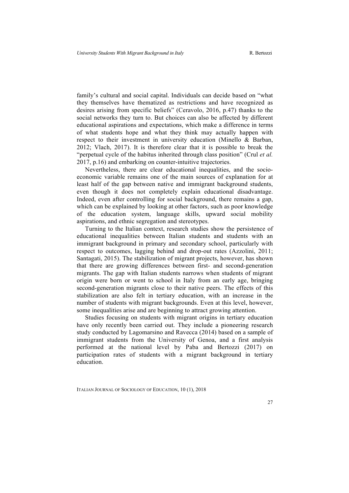family's cultural and social capital. Individuals can decide based on "what they themselves have thematized as restrictions and have recognized as desires arising from specific beliefs" (Ceravolo, 2016, p.47) thanks to the social networks they turn to. But choices can also be affected by different educational aspirations and expectations, which make a difference in terms of what students hope and what they think may actually happen with respect to their investment in university education (Minello & Barban, 2012; Vlach, 2017). It is therefore clear that it is possible to break the "perpetual cycle of the habitus inherited through class position" (Crul *et al.*  2017, p.16) and embarking on counter-intuitive trajectories.

Nevertheless, there are clear educational inequalities, and the socioeconomic variable remains one of the main sources of explanation for at least half of the gap between native and immigrant background students, even though it does not completely explain educational disadvantage. Indeed, even after controlling for social background, there remains a gap, which can be explained by looking at other factors, such as poor knowledge of the education system, language skills, upward social mobility aspirations, and ethnic segregation and stereotypes.

Turning to the Italian context, research studies show the persistence of educational inequalities between Italian students and students with an immigrant background in primary and secondary school, particularly with respect to outcomes, lagging behind and drop-out rates (Azzolini, 2011; Santagati, 2015). The stabilization of migrant projects, however, has shown that there are growing differences between first- and second-generation migrants. The gap with Italian students narrows when students of migrant origin were born or went to school in Italy from an early age, bringing second-generation migrants close to their native peers. The effects of this stabilization are also felt in tertiary education, with an increase in the number of students with migrant backgrounds. Even at this level, however, some inequalities arise and are beginning to attract growing attention.

Studies focusing on students with migrant origins in tertiary education have only recently been carried out. They include a pioneering research study conducted by Lagomarsino and Ravecca (2014) based on a sample of immigrant students from the University of Genoa, and a first analysis performed at the national level by Paba and Bertozzi (2017) on participation rates of students with a migrant background in tertiary education.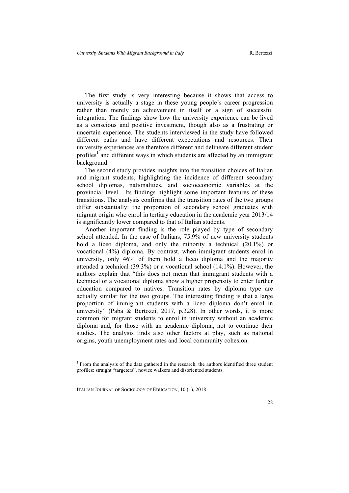The first study is very interesting because it shows that access to university is actually a stage in these young people's career progression rather than merely an achievement in itself or a sign of successful integration. The findings show how the university experience can be lived as a conscious and positive investment, though also as a frustrating or uncertain experience. The students interviewed in the study have followed different paths and have different expectations and resources. Their university experiences are therefore different and delineate different student profiles<sup>1</sup> and different ways in which students are affected by an immigrant background.

The second study provides insights into the transition choices of Italian and migrant students, highlighting the incidence of different secondary school diplomas, nationalities, and socioeconomic variables at the provincial level. Its findings highlight some important features of these transitions. The analysis confirms that the transition rates of the two groups differ substantially: the proportion of secondary school graduates with migrant origin who enrol in tertiary education in the academic year 2013/14 is significantly lower compared to that of Italian students.

Another important finding is the role played by type of secondary school attended. In the case of Italians, 75.9% of new university students hold a liceo diploma, and only the minority a technical (20.1%) or vocational (4%) diploma. By contrast, when immigrant students enrol in university, only 46% of them hold a liceo diploma and the majority attended a technical (39.3%) or a vocational school (14.1%). However, the authors explain that "this does not mean that immigrant students with a technical or a vocational diploma show a higher propensity to enter further education compared to natives. Transition rates by diploma type are actually similar for the two groups. The interesting finding is that a large proportion of immigrant students with a liceo diploma don't enrol in university" (Paba & Bertozzi, 2017, p.328). In other words, it is more common for migrant students to enrol in university without an academic diploma and, for those with an academic diploma, not to continue their studies. The analysis finds also other factors at play, such as national origins, youth unemployment rates and local community cohesion.

<sup>&</sup>lt;sup>1</sup> From the analysis of the data gathered in the research, the authors identified three student profiles: straight "targeters", novice walkers and disoriented students.

ITALIAN JOURNAL OF SOCIOLOGY OF EDUCATION, 10 (1), 2018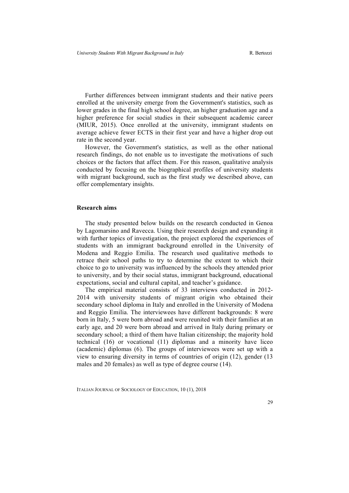Further differences between immigrant students and their native peers enrolled at the university emerge from the Government's statistics, such as lower grades in the final high school degree, an higher graduation age and a higher preference for social studies in their subsequent academic career (MIUR, 2015). Once enrolled at the university, immigrant students on average achieve fewer ECTS in their first year and have a higher drop out rate in the second year.

However, the Government's statistics, as well as the other national research findings, do not enable us to investigate the motivations of such choices or the factors that affect them. For this reason, qualitative analysis conducted by focusing on the biographical profiles of university students with migrant background, such as the first study we described above, can offer complementary insights.

#### **Research aims**

The study presented below builds on the research conducted in Genoa by Lagomarsino and Ravecca. Using their research design and expanding it with further topics of investigation, the project explored the experiences of students with an immigrant background enrolled in the University of Modena and Reggio Emilia. The research used qualitative methods to retrace their school paths to try to determine the extent to which their choice to go to university was influenced by the schools they attended prior to university, and by their social status, immigrant background, educational expectations, social and cultural capital, and teacher's guidance.

The empirical material consists of 33 interviews conducted in 2012- 2014 with university students of migrant origin who obtained their secondary school diploma in Italy and enrolled in the University of Modena and Reggio Emilia. The interviewees have different backgrounds: 8 were born in Italy, 5 were born abroad and were reunited with their families at an early age, and 20 were born abroad and arrived in Italy during primary or secondary school; a third of them have Italian citizenship; the majority hold technical (16) or vocational (11) diplomas and a minority have liceo (academic) diplomas (6). The groups of interviewees were set up with a view to ensuring diversity in terms of countries of origin (12), gender (13 males and 20 females) as well as type of degree course (14).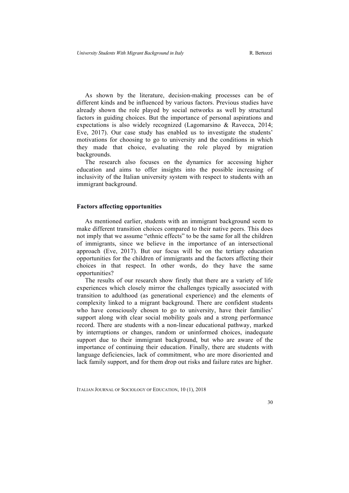As shown by the literature, decision-making processes can be of different kinds and be influenced by various factors. Previous studies have already shown the role played by social networks as well by structural factors in guiding choices. But the importance of personal aspirations and expectations is also widely recognized (Lagomarsino & Ravecca, 2014; Eve, 2017). Our case study has enabled us to investigate the students' motivations for choosing to go to university and the conditions in which they made that choice, evaluating the role played by migration backgrounds.

The research also focuses on the dynamics for accessing higher education and aims to offer insights into the possible increasing of inclusivity of the Italian university system with respect to students with an immigrant background.

#### **Factors affecting opportunities**

As mentioned earlier, students with an immigrant background seem to make different transition choices compared to their native peers. This does not imply that we assume "ethnic effects" to be the same for all the children of immigrants, since we believe in the importance of an intersectional approach (Eve, 2017). But our focus will be on the tertiary education opportunities for the children of immigrants and the factors affecting their choices in that respect. In other words, do they have the same opportunities?

The results of our research show firstly that there are a variety of life experiences which closely mirror the challenges typically associated with transition to adulthood (as generational experience) and the elements of complexity linked to a migrant background. There are confident students who have consciously chosen to go to university, have their families' support along with clear social mobility goals and a strong performance record. There are students with a non-linear educational pathway, marked by interruptions or changes, random or uninformed choices, inadequate support due to their immigrant background, but who are aware of the importance of continuing their education. Finally, there are students with language deficiencies, lack of commitment, who are more disoriented and lack family support, and for them drop out risks and failure rates are higher.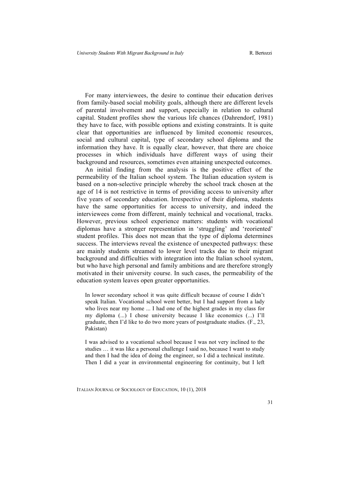For many interviewees, the desire to continue their education derives from family-based social mobility goals, although there are different levels of parental involvement and support, especially in relation to cultural capital. Student profiles show the various life chances (Dahrendorf, 1981) they have to face, with possible options and existing constraints. It is quite clear that opportunities are influenced by limited economic resources, social and cultural capital, type of secondary school diploma and the information they have. It is equally clear, however, that there are choice processes in which individuals have different ways of using their background and resources, sometimes even attaining unexpected outcomes.

An initial finding from the analysis is the positive effect of the permeability of the Italian school system. The Italian education system is based on a non-selective principle whereby the school track chosen at the age of 14 is not restrictive in terms of providing access to university after five years of secondary education. Irrespective of their diploma, students have the same opportunities for access to university, and indeed the interviewees come from different, mainly technical and vocational, tracks. However, previous school experience matters: students with vocational diplomas have a stronger representation in 'struggling' and 'reoriented' student profiles. This does not mean that the type of diploma determines success. The interviews reveal the existence of unexpected pathways: these are mainly students streamed to lower level tracks due to their migrant background and difficulties with integration into the Italian school system, but who have high personal and family ambitions and are therefore strongly motivated in their university course. In such cases, the permeability of the education system leaves open greater opportunities.

In lower secondary school it was quite difficult because of course I didn't speak Italian. Vocational school went better, but I had support from a lady who lives near my home ... I had one of the highest grades in my class for my diploma (...) I chose university because I like economics (...) I'll graduate, then I'd like to do two more years of postgraduate studies. (F., 23, Pakistan)

I was advised to a vocational school because I was not very inclined to the studies … it was like a personal challenge I said no, because I want to study and then I had the idea of doing the engineer, so I did a technical institute. Then I did a year in environmental engineering for continuity, but I left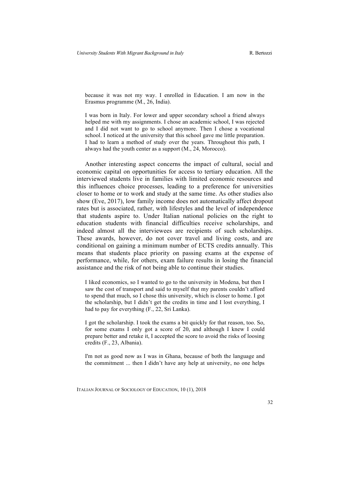because it was not my way. I enrolled in Education. I am now in the Erasmus programme (M., 26, India).

I was born in Italy. For lower and upper secondary school a friend always helped me with my assignments. I chose an academic school, I was rejected and I did not want to go to school anymore. Then I chose a vocational school. I noticed at the university that this school gave me little preparation. I had to learn a method of study over the years. Throughout this path, I always had the youth center as a support (M., 24, Morocco).

Another interesting aspect concerns the impact of cultural, social and economic capital on opportunities for access to tertiary education. All the interviewed students live in families with limited economic resources and this influences choice processes, leading to a preference for universities closer to home or to work and study at the same time. As other studies also show (Eve, 2017), low family income does not automatically affect dropout rates but is associated, rather, with lifestyles and the level of independence that students aspire to. Under Italian national policies on the right to education students with financial difficulties receive scholarships, and indeed almost all the interviewees are recipients of such scholarships. These awards, however, do not cover travel and living costs, and are conditional on gaining a minimum number of ECTS credits annually. This means that students place priority on passing exams at the expense of performance, while, for others, exam failure results in losing the financial assistance and the risk of not being able to continue their studies.

I liked economics, so I wanted to go to the university in Modena, but then I saw the cost of transport and said to myself that my parents couldn't afford to spend that much, so I chose this university, which is closer to home. I got the scholarship, but I didn't get the credits in time and I lost everything, I had to pay for everything (F., 22, Sri Lanka).

I got the scholarship. I took the exams a bit quickly for that reason, too. So, for some exams I only got a score of 20, and although I knew I could prepare better and retake it, I accepted the score to avoid the risks of loosing credits (F., 23, Albania).

I'm not as good now as I was in Ghana, because of both the language and the commitment ... then I didn't have any help at university, no one helps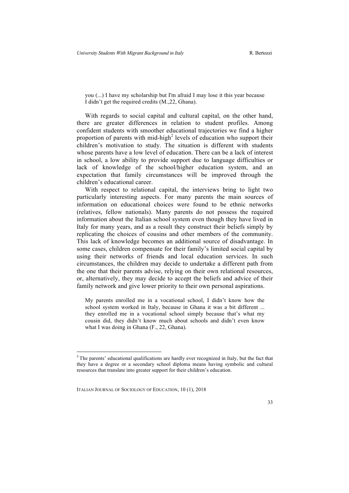you (...) I have my scholarship but I'm afraid I may lose it this year because I didn't get the required credits (M.,22, Ghana).

With regards to social capital and cultural capital, on the other hand, there are greater differences in relation to student profiles. Among confident students with smoother educational trajectories we find a higher proportion of parents with mid-high<sup>2</sup> levels of education who support their children's motivation to study. The situation is different with students whose parents have a low level of education. There can be a lack of interest in school, a low ability to provide support due to language difficulties or lack of knowledge of the school/higher education system, and an expectation that family circumstances will be improved through the children's educational career.

With respect to relational capital, the interviews bring to light two particularly interesting aspects. For many parents the main sources of information on educational choices were found to be ethnic networks (relatives, fellow nationals). Many parents do not possess the required information about the Italian school system even though they have lived in Italy for many years, and as a result they construct their beliefs simply by replicating the choices of cousins and other members of the community. This lack of knowledge becomes an additional source of disadvantage. In some cases, children compensate for their family's limited social capital by using their networks of friends and local education services. In such circumstances, the children may decide to undertake a different path from the one that their parents advise, relying on their own relational resources, or, alternatively, they may decide to accept the beliefs and advice of their family network and give lower priority to their own personal aspirations.

My parents enrolled me in a vocational school, I didn't know how the school system worked in Italy, because in Ghana it was a bit different ... they enrolled me in a vocational school simply because that's what my cousin did, they didn't know much about schools and didn't even know what I was doing in Ghana (F., 22, Ghana).

<sup>&</sup>lt;sup>2</sup> The parents' educational qualifications are hardly ever recognized in Italy, but the fact that they have a degree or a secondary school diploma means having symbolic and cultural resources that translate into greater support for their children's education.

ITALIAN JOURNAL OF SOCIOLOGY OF EDUCATION, 10 (1), 2018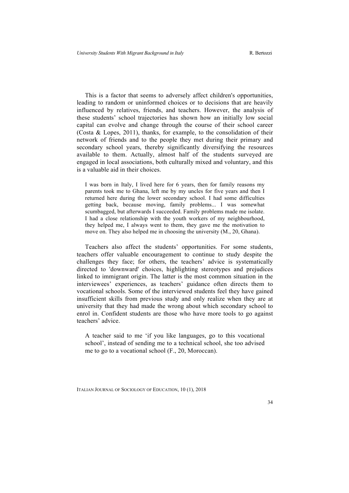This is a factor that seems to adversely affect children's opportunities, leading to random or uninformed choices or to decisions that are heavily influenced by relatives, friends, and teachers. However, the analysis of these students' school trajectories has shown how an initially low social capital can evolve and change through the course of their school career (Costa & Lopes, 2011), thanks, for example, to the consolidation of their network of friends and to the people they met during their primary and secondary school years, thereby significantly diversifying the resources available to them. Actually, almost half of the students surveyed are engaged in local associations, both culturally mixed and voluntary, and this is a valuable aid in their choices.

I was born in Italy, I lived here for 6 years, then for family reasons my parents took me to Ghana, left me by my uncles for five years and then I returned here during the lower secondary school. I had some difficulties getting back, because moving, family problems... I was somewhat scumbagged, but afterwards I succeeded. Family problems made me isolate. I had a close relationship with the youth workers of my neighbourhood, they helped me, I always went to them, they gave me the motivation to move on. They also helped me in choosing the university (M., 20, Ghana).

Teachers also affect the students' opportunities. For some students, teachers offer valuable encouragement to continue to study despite the challenges they face; for others, the teachers' advice is systematically directed to 'downward' choices, highlighting stereotypes and prejudices linked to immigrant origin. The latter is the most common situation in the interviewees' experiences, as teachers' guidance often directs them to vocational schools. Some of the interviewed students feel they have gained insufficient skills from previous study and only realize when they are at university that they had made the wrong about which secondary school to enrol in. Confident students are those who have more tools to go against teachers' advice.

A teacher said to me 'if you like languages, go to this vocational school', instead of sending me to a technical school, she too advised me to go to a vocational school (F., 20, Moroccan).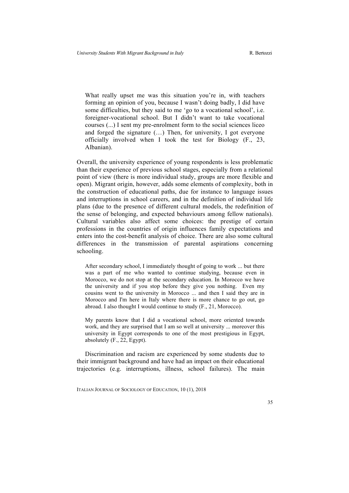What really upset me was this situation you're in, with teachers forming an opinion of you, because I wasn't doing badly, I did have some difficulties, but they said to me 'go to a vocational school', i.e. foreigner-vocational school. But I didn't want to take vocational courses (...) I sent my pre-enrolment form to the social sciences liceo and forged the signature (…) Then, for university, I got everyone officially involved when I took the test for Biology (F., 23, Albanian).

Overall, the university experience of young respondents is less problematic than their experience of previous school stages, especially from a relational point of view (there is more individual study, groups are more flexible and open). Migrant origin, however, adds some elements of complexity, both in the construction of educational paths, due for instance to language issues and interruptions in school careers, and in the definition of individual life plans (due to the presence of different cultural models, the redefinition of the sense of belonging, and expected behaviours among fellow nationals). Cultural variables also affect some choices: the prestige of certain professions in the countries of origin influences family expectations and enters into the cost-benefit analysis of choice. There are also some cultural differences in the transmission of parental aspirations concerning schooling.

After secondary school, I immediately thought of going to work ... but there was a part of me who wanted to continue studying, because even in Morocco, we do not stop at the secondary education. In Morocco we have the university and if you stop before they give you nothing. Even my cousins went to the university in Morocco ... and then I said they are in Morocco and I'm here in Italy where there is more chance to go out, go abroad. I also thought I would continue to study (F., 21, Morocco).

My parents know that I did a vocational school, more oriented towards work, and they are surprised that I am so well at university ... moreover this university in Egypt corresponds to one of the most prestigious in Egypt, absolutely (F., 22, Egypt).

Discrimination and racism are experienced by some students due to their immigrant background and have had an impact on their educational trajectories (e.g. interruptions, illness, school failures). The main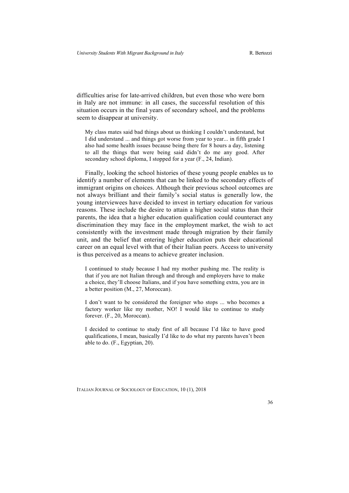difficulties arise for late-arrived children, but even those who were born in Italy are not immune: in all cases, the successful resolution of this situation occurs in the final years of secondary school, and the problems seem to disappear at university.

My class mates said bad things about us thinking I couldn't understand, but I did understand ... and things got worse from year to year... in fifth grade I also had some health issues because being there for 8 hours a day, listening to all the things that were being said didn't do me any good. After secondary school diploma, I stopped for a year (F., 24, Indian).

Finally, looking the school histories of these young people enables us to identify a number of elements that can be linked to the secondary effects of immigrant origins on choices. Although their previous school outcomes are not always brilliant and their family's social status is generally low, the young interviewees have decided to invest in tertiary education for various reasons. These include the desire to attain a higher social status than their parents, the idea that a higher education qualification could counteract any discrimination they may face in the employment market, the wish to act consistently with the investment made through migration by their family unit, and the belief that entering higher education puts their educational career on an equal level with that of their Italian peers. Access to university is thus perceived as a means to achieve greater inclusion.

I continued to study because I had my mother pushing me. The reality is that if you are not Italian through and through and employers have to make a choice, they'll choose Italians, and if you have something extra, you are in a better position (M., 27, Moroccan).

I don't want to be considered the foreigner who stops ... who becomes a factory worker like my mother, NO! I would like to continue to study forever. (F., 20, Moroccan).

I decided to continue to study first of all because I'd like to have good qualifications, I mean, basically I'd like to do what my parents haven't been able to do. (F., Egyptian, 20).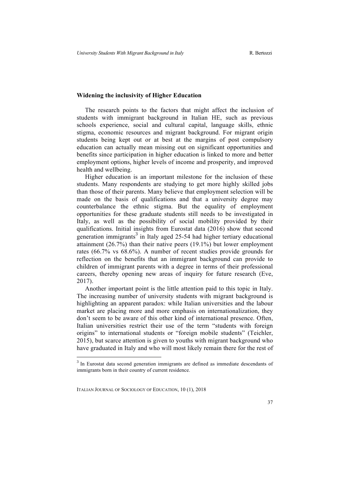#### **Widening the inclusivity of Higher Education**

The research points to the factors that might affect the inclusion of students with immigrant background in Italian HE, such as previous schools experience, social and cultural capital, language skills, ethnic stigma, economic resources and migrant background. For migrant origin students being kept out or at best at the margins of post compulsory education can actually mean missing out on significant opportunities and benefits since participation in higher education is linked to more and better employment options, higher levels of income and prosperity, and improved health and wellbeing.

Higher education is an important milestone for the inclusion of these students. Many respondents are studying to get more highly skilled jobs than those of their parents. Many believe that employment selection will be made on the basis of qualifications and that a university degree may counterbalance the ethnic stigma. But the equality of employment opportunities for these graduate students still needs to be investigated in Italy, as well as the possibility of social mobility provided by their qualifications. Initial insights from Eurostat data (2016) show that second generation immigrants<sup>3</sup> in Italy aged 25-54 had higher tertiary educational attainment (26.7%) than their native peers (19.1%) but lower employment rates (66.7% vs 68.6%). A number of recent studies provide grounds for reflection on the benefits that an immigrant background can provide to children of immigrant parents with a degree in terms of their professional careers, thereby opening new areas of inquiry for future research (Eve, 2017).

Another important point is the little attention paid to this topic in Italy. The increasing number of university students with migrant background is highlighting an apparent paradox: while Italian universities and the labour market are placing more and more emphasis on internationalization, they don't seem to be aware of this other kind of international presence. Often, Italian universities restrict their use of the term "students with foreign origins" to international students or "foreign mobile students" (Teichler, 2015), but scarce attention is given to youths with migrant background who have graduated in Italy and who will most likely remain there for the rest of

<sup>&</sup>lt;sup>3</sup> In Eurostat data second generation immigrants are defined as immediate descendants of immigrants born in their country of current residence.

ITALIAN JOURNAL OF SOCIOLOGY OF EDUCATION, 10 (1), 2018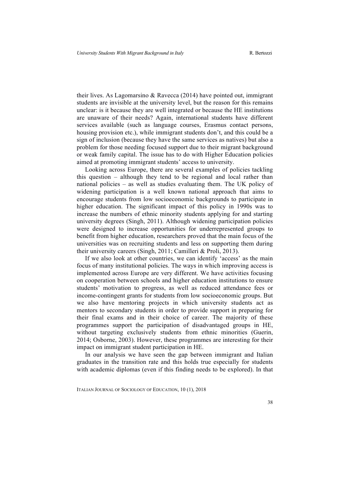their lives. As Lagomarsino & Ravecca (2014) have pointed out, immigrant students are invisible at the university level, but the reason for this remains unclear: is it because they are well integrated or because the HE institutions are unaware of their needs? Again, international students have different services available (such as language courses, Erasmus contact persons, housing provision etc.), while immigrant students don't, and this could be a sign of inclusion (because they have the same services as natives) but also a problem for those needing focused support due to their migrant background or weak family capital. The issue has to do with Higher Education policies aimed at promoting immigrant students' access to university.

Looking across Europe, there are several examples of policies tackling this question – although they tend to be regional and local rather than national policies – as well as studies evaluating them. The UK policy of widening participation is a well known national approach that aims to encourage students from low socioeconomic backgrounds to participate in higher education. The significant impact of this policy in 1990s was to increase the numbers of ethnic minority students applying for and starting university degrees (Singh, 2011). Although widening participation policies were designed to increase opportunities for underrepresented groups to benefit from higher education, researchers proved that the main focus of the universities was on recruiting students and less on supporting them during their university careers (Singh, 2011; Camilleri & Proli, 2013).

If we also look at other countries, we can identify 'access' as the main focus of many institutional policies. The ways in which improving access is implemented across Europe are very different. We have activities focusing on cooperation between schools and higher education institutions to ensure students' motivation to progress, as well as reduced attendance fees or income-contingent grants for students from low socioeconomic groups. But we also have mentoring projects in which university students act as mentors to secondary students in order to provide support in preparing for their final exams and in their choice of career. The majority of these programmes support the participation of disadvantaged groups in HE, without targeting exclusively students from ethnic minorities (Guerin, 2014; Osborne, 2003). However, these programmes are interesting for their impact on immigrant student participation in HE.

In our analysis we have seen the gap between immigrant and Italian graduates in the transition rate and this holds true especially for students with academic diplomas (even if this finding needs to be explored). In that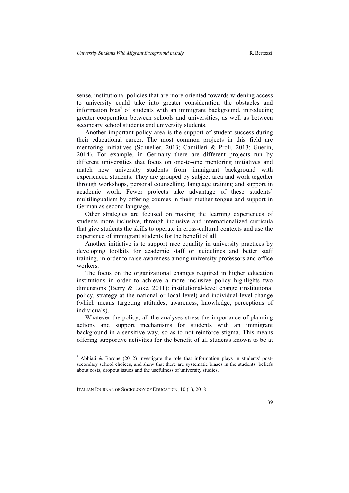sense, institutional policies that are more oriented towards widening access to university could take into greater consideration the obstacles and information bias<sup>4</sup> of students with an immigrant background, introducing greater cooperation between schools and universities, as well as between secondary school students and university students.

Another important policy area is the support of student success during their educational career. The most common projects in this field are mentoring initiatives (Schneller, 2013; Camilleri & Proli, 2013; Guerin, 2014). For example, in Germany there are different projects run by different universities that focus on one-to-one mentoring initiatives and match new university students from immigrant background with experienced students. They are grouped by subject area and work together through workshops, personal counselling, language training and support in academic work. Fewer projects take advantage of these students' multilingualism by offering courses in their mother tongue and support in German as second language.

Other strategies are focused on making the learning experiences of students more inclusive, through inclusive and internationalized curricula that give students the skills to operate in cross-cultural contexts and use the experience of immigrant students for the benefit of all.

Another initiative is to support race equality in university practices by developing toolkits for academic staff or guidelines and better staff training, in order to raise awareness among university professors and office workers.

The focus on the organizational changes required in higher education institutions in order to achieve a more inclusive policy highlights two dimensions (Berry & Loke, 2011): institutional-level change (institutional policy, strategy at the national or local level) and individual-level change (which means targeting attitudes, awareness, knowledge, perceptions of individuals).

Whatever the policy, all the analyses stress the importance of planning actions and support mechanisms for students with an immigrant background in a sensitive way, so as to not reinforce stigma. This means offering supportive activities for the benefit of all students known to be at

 <sup>4</sup> Abbiati & Barone (2012) investigate the role that information plays in students' postsecondary school choices, and show that there are systematic biases in the students' beliefs about costs, dropout issues and the usefulness of university studies.

ITALIAN JOURNAL OF SOCIOLOGY OF EDUCATION, 10 (1), 2018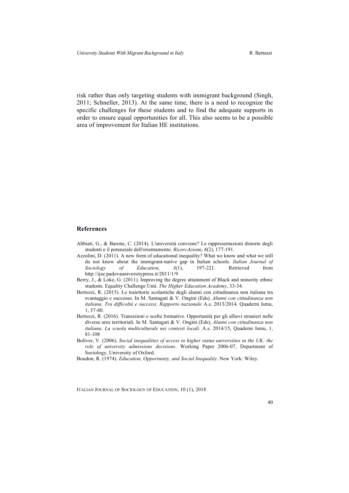risk rather than only targeting students with immigrant background (Singh, 2011; Schneller, 2013). At the same time, there is a need to recognize the specific challenges for these students and to find the adequate supports in order to ensure equal opportunities for all. This also seems to be a possible area of improvement for Italian HE institutions.

#### **References**

- Abbiati, G., & Barone, C. (2014). L'università conviene? Le rappresentazioni distorte degli studenti e il potenziale dell'orientamento. *RicercAzion*e, *6*(2), 177-191.
- Azzolini, D. (2011). A new form of educational inequality? What we know and what we still do not know about the immigrant-native gap in Italian schools. *Italian Journal of Sociology of Education*, *3*(1), 197-221. Retrieved from http://ijse.padovauniversitypress.it/2011/1/9
- Berry, J., & Loke, G. (2011). Improving the degree attainment of Black and minority ethnic students. Equality Challenge Unit. *The Higher Education Academy*, 33-34.
- Bertozzi, R. (2015). Le traiettorie scolastiche degli alunni con cittadinanza non italiana tra svantaggio e successo. In M. Santagati & V. Ongini (Eds). *Alunni con cittadinanza non italiana. Tra difficoltà e successi, Rapporto nazionale* A.s. 2013/2014. Quaderni Ismu, 1, 57-80.
- Bertozzi, R. (2016). Transizioni e scelte formative. Opportunità per gli allievi stranieri nelle diverse aree territoriali. In M. Santagati & V. Ongini (Eds), *Alunni con cittadinanza non italiana. La scuola multiculturale nei contesti locali.* A.s. 2014/15, Quaderni Ismu, 1, 81-108
- Boliver, V. (2006). *Social inequalities of access to higher status universities in the UK: the role of university admissions decisions*. Working Paper 2006-07, Department of Sociology, University of Oxford.
- Boudon, R. (1974). *Education, Opportunity, and Social Inequality*. New York: Wiley.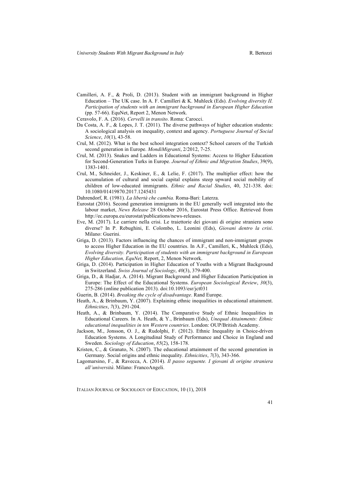- Camilleri, A. F., & Proli, D. (2013). Student with an immigrant background in Higher Education – The UK case. In A. F. Camilleri & K. Muhleck (Eds). *Evolving diversity II. Participation of students with an immigrant background in European Higher Education* (pp. 57-66). EquNet, Report 2, Menon Network.
- Ceravolo, F. A. (2016). *Cervelli in transito*. Roma: Carocci.
- Da Costa, A. F., & Lopes, J. T. (2011). The diverse pathways of higher education students: A sociological analysis on inequality, context and agency. *Portuguese Journal of Social Science*, *10*(1), 43-58.
- Crul, M. (2012). What is the best school integration context? School careers of the Turkish second generation in Europe. *MondiMigranti*, 2/2012, 7-25.
- Crul, M. (2013). Snakes and Ladders in Educational Systems: Access to Higher Education for Second-Generation Turks in Europe. *Journal of Ethnic and Migration Studies*, 39(9), 1383-1401.
- Crul, M., Schneider, J., Keskiner, E., & Lelie, F. (2017). The multiplier effect: how the accumulation of cultural and social capital explains steep upward social mobility of children of low-educated immigrants. *Ethnic and Racial Studies*, 40, 321-338. doi: 10.1080/01419870.2017.1245431
- Dahrendorf, R. (1981). *La libertà che cambia.* Roma-Bari: Laterza.
- Eurostat (2016). Second generation immigrants in the EU generally well integrated into the labour market, *News Release* 28 October 2016, Eurostat Press Office. Retrieved from http://ec.europa.eu/eurostat/publications/news-releases.
- Eve, M. (2017). Le carriere nella crisi. Le traiettorie dei giovani di origine straniera sono diverse? In P. Rebughini, E. Colombo, L. Leonini (Eds), *Giovani dentro la crisi*. Milano: Guerini.
- Griga, D. (2013). Factors influencing the chances of immigrant and non-immigrant groups to access Higher Education in the EU countries. In A.F., Camilleri, K., Muhleck (Eds), *Evolving diversity. Participation of students with an immigrant background in European Higher Education, EquNet,* Report, 2, Menon Network.
- Griga, D. (2014). Participation in Higher Education of Youths with a Migrant Background in Switzerland. *Swiss Journal of Sociology*, *40*(3), 379-400.
- Griga, D., & Hadjar, A. (2014). Migrant Background and Higher Education Participation in Europe: The Effect of the Educational Systems. *European Sociological Review*, *30*(3), 275-286 (online publication 2013). doi:10.1093/esr/jct031
- Guerin, B. (2014). *Breaking the cycle of disadvantage*. Rand Europe.
- Heath, A., & Brinbaum, Y. (2007). Explaining ethnic inequalities in educational attainment. *Ethnicities*, *7*(3), 291-204.
- Heath, A., & Brinbaum, Y. (2014). The Comparative Study of Ethnic Inequalities in Educational Careers. In A. Heath, & Y., Brinbaum (Eds), *Unequal Attainments: Ethnic educational inequalities in ten Western countries*. London: OUP/British Academy.
- Jackson, M., Jonsson, O. J., & Rudolphi, F. (2012). Ethnic Inequality in Choice-driven Education Systems. A Longitudinal Study of Performance and Choice in England and Sweden. *Sociology of Education*, *85*(2), 158-178.
- Kristen, C., & Granato, N. (2007). The educational attainment of the second generation in Germany. Social origins and ethnic inequality. *Ethnicities*, *7*(3), 343-366.
- Lagomarsino, F., & Ravecca, A. (2014). *Il passo seguente. I giovani di origine straniera all'università*. Milano: FrancoAngeli.